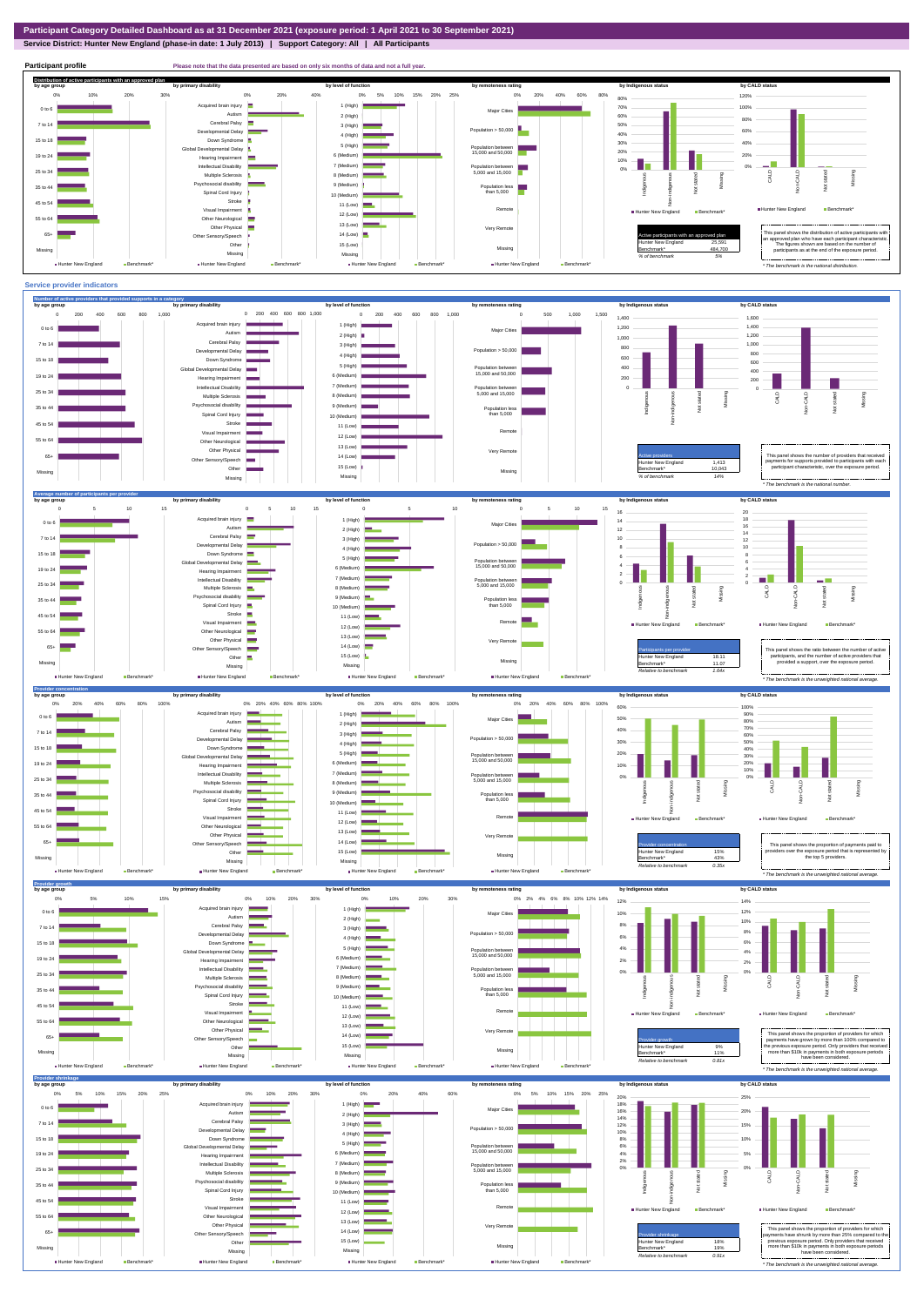**Service District: Hunter New England (phase-in date: 1 July 2013) | Support Category: All | All Participants**



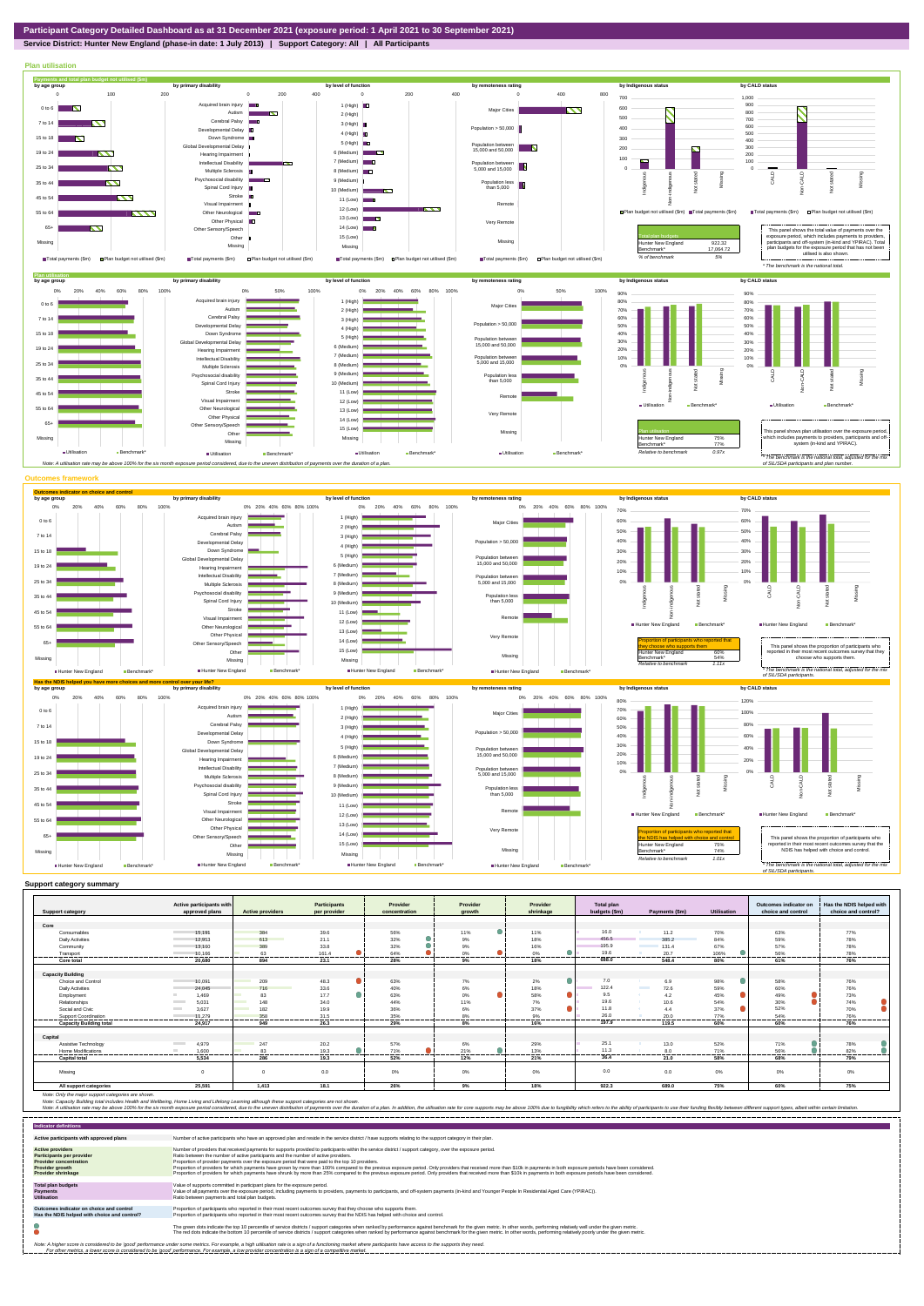**Service District: Hunter New England (phase-in date: 1 July 2013) | Support Category: All | All Participants**



|                                | Active participants with          |                                 | Participants          | Provider              | Provider              | Provider         | Total plan    |                          |                    | Outcomes indicator on | Has the NDIS helped with |
|--------------------------------|-----------------------------------|---------------------------------|-----------------------|-----------------------|-----------------------|------------------|---------------|--------------------------|--------------------|-----------------------|--------------------------|
| <b>Support category</b>        | approved plans                    | <b>Active providers</b>         | per provider          | concentration         | growth                | shrinkage        | budgets (\$m) | Payments (\$m)           | <b>Utilisation</b> | choice and control    | choice and control?      |
| Core                           |                                   |                                 |                       |                       |                       |                  |               |                          |                    |                       |                          |
| Consumables                    | 15.191                            | 384                             | 39.6                  | 56%                   | $\bullet$<br>11%      | 11%              | 16.0          | 11.2                     | 70%                | 63%                   | 77%                      |
|                                | 12,953                            | 613                             | 21.1                  | 32%                   | 9%                    |                  | 456.5         | 385.2                    | 84%                | 59%                   | 78%                      |
| <b>Daily Activities</b>        |                                   |                                 |                       |                       |                       | 18%              | 195.9         |                          |                    |                       |                          |
| Community                      | 13.160                            | 389                             | 33.8                  | 32%                   | 9%                    | 16%              | 19.6          | 131.4                    | 67%                | 57%                   | 78%                      |
| Transport<br>                  | 10.166<br>.                       | 63<br>.                         | 161.4<br>.<br>------- | 64%<br>.<br>--------- | 0%<br>----------<br>. | 0%<br>.          | 688.0         | 20.7<br>.                | 106%<br>           | 56%<br>--------       | 78%<br>.                 |
| Core total                     | 20.680                            | 894                             | 23.1                  | 28%                   | 9%                    | 18%              |               | 548.4                    | 80%                | 61%                   | 76%                      |
|                                |                                   |                                 |                       |                       |                       |                  |               |                          |                    |                       |                          |
| <b>Capacity Building</b>       |                                   |                                 |                       |                       |                       |                  | 7.0           |                          |                    |                       |                          |
| Choice and Control             | 10,091                            | 209                             | 48.3                  | 63%                   | 7%                    | 2%               |               | 6.9<br><b>Contractor</b> | 98%                | 58%                   | 76%                      |
| <b>Daily Activities</b>        | 24.045                            | 716<br><b>Contract Contract</b> | 33.6                  | 40%                   | 6%<br>$\bullet$       | 18%<br>$\bullet$ | 122.4         | 72.6                     | 59%                | 60%                   | 76%                      |
| Employment                     | 1.469                             | 83                              | 17.7                  | 63%                   | 0%                    | 58%              | 9.5           | 4.2<br>- 6 -             | 45%                | 49%                   | 73%                      |
| Relationships                  | 5.031                             | <b>Contract Contract</b><br>148 | 34.0                  | 44%                   | 11%                   | 7%               | 19.6          | 10.6                     | 54%                | 30%                   | 74%                      |
| Social and Civic               | <b>Contract</b><br>3.627          | 182                             | 19.9                  | 36%                   | 6%                    | n.<br>37%        | 11.8          | 44                       | 37%                | 52%                   | 70%                      |
| Support Coordination           | 11.279                            | 358                             | 31.5                  | 35%                   | 8%                    | 9%               | 26.0          | 20.0                     | 77%                | 54%                   | 76%                      |
| <b>Capacity Building total</b> | 24.917                            | 949                             | 26.3                  | 29%                   | 8%                    | 16%              | 197.9         | 119.5                    | 60%                | 60%                   | 76%                      |
|                                |                                   |                                 |                       |                       |                       |                  |               |                          |                    |                       |                          |
| Capital                        |                                   |                                 |                       |                       |                       |                  |               |                          |                    |                       |                          |
| Assistive Technology           | 4.979<br><b>Contract Contract</b> | 247                             | 20.2                  | 57%                   | 6%                    | 29%              | 25.1          | 13.0                     | 52%                | 71%                   | 78%                      |
| <b>Home Modifications</b>      | 1.600                             | 83                              | 19.3                  | 71%                   | $\bullet$<br>21%      | 13%              | 11.3<br>      | 8.0                      | 71%<br>-------     | 56%                   | 82%                      |
| <b>Capital total</b>           | 5.534                             | 286                             | 19.3                  | 52%                   | 12%                   | 21%              | 36.4          | 21.0                     | 58%                | 68%                   | 79%                      |
| Missing                        | $\Omega$                          |                                 | 0.0                   | 0%                    | $0\%$                 | 0%               | 0.0           | 0.0                      | $0\%$              | 0%                    | 0%                       |
| All support categories         | 25,591                            | 1,413                           | 18.1                  | 26%                   | 9%                    | 18%              | 922.3         | 689.0                    | 75%                | 60%                   | 75%                      |

Note: Only the major support categories are shown.<br>Note: Capacity Building total individual Wellbeing, Home Living and Lifelong Learning although these support categories are not shown.<br>Note: A utilisation rate may be abov

| <b>Indicator definitions</b>                                                                                                                 |                                                                                                                                                                                                                                                                                                                                                                                                                                                                                                                                                                                                                                                                                                                                                                                                                 |
|----------------------------------------------------------------------------------------------------------------------------------------------|-----------------------------------------------------------------------------------------------------------------------------------------------------------------------------------------------------------------------------------------------------------------------------------------------------------------------------------------------------------------------------------------------------------------------------------------------------------------------------------------------------------------------------------------------------------------------------------------------------------------------------------------------------------------------------------------------------------------------------------------------------------------------------------------------------------------|
| Active participants with approved plans                                                                                                      | Number of active participants who have an approved plan and reside in the service district / have supports relating to the support category in their plan.                                                                                                                                                                                                                                                                                                                                                                                                                                                                                                                                                                                                                                                      |
| <b>Active providers</b><br><b>Participants per provider</b><br><b>Provider concentration</b><br>Provider growth<br><b>Provider shrinkage</b> | Number of providers that received payments for supports provided to participants within the service district / support category, over the exposure period.<br>Ratio between the number of active participants and the number of active providers.<br>Proportion of provider payments over the exposure period that were paid to the top 10 providers.<br>Proportion of providers for which payments have grown by more than 100% compared to the previous exposure period. Only providers that received more than \$10k in payments in both exposure periods have been considered.<br>Proportion of providers for which payments have shrunk by more than 25% compared to the previous exposure period. Only providers that received more than \$10k in payments in both exposure periods have been considered. |
| <b>Total plan budgets</b><br>Payments<br><b>Utilisation</b>                                                                                  | Value of supports committed in participant plans for the exposure period.<br>Value of all payments over the exposure period, including payments to providers, payments to participants, and off-system payments (in-kind and Younger People In Residential Aged Care (YPIRAC)).<br>Ratio between payments and total plan budgets.                                                                                                                                                                                                                                                                                                                                                                                                                                                                               |
| Outcomes indicator on choice and control<br>Has the NDIS helped with choice and control?                                                     | Proportion of participants who reported in their most recent outcomes survey that they choose who supports them.<br>Proportion of participants who reported in their most recent outcomes survey that the NDIS has helped with choice and control.                                                                                                                                                                                                                                                                                                                                                                                                                                                                                                                                                              |
|                                                                                                                                              | The green dots indicate the top 10 percentile of service districts / support categories when ranked by performance against benchmark for the given metric. In other words, performing relatively well under the given metric.<br>The red dots indicate the bottom 10 percentile of service districts / support categories when ranked by performance against benchmark for the given metric. In other words, performing relatively poorly under the given metri                                                                                                                                                                                                                                                                                                                                                 |
|                                                                                                                                              | Note: A higher score is considered to be 'good' performance under some metrics. For example, a high utilisation rate is a sign of a functioning market where participants have access to the supports they need.<br>For other metrics, a lower score is considered to be 'good' performance. For example, a low provider concentration is a sign of a competitive market.                                                                                                                                                                                                                                                                                                                                                                                                                                       |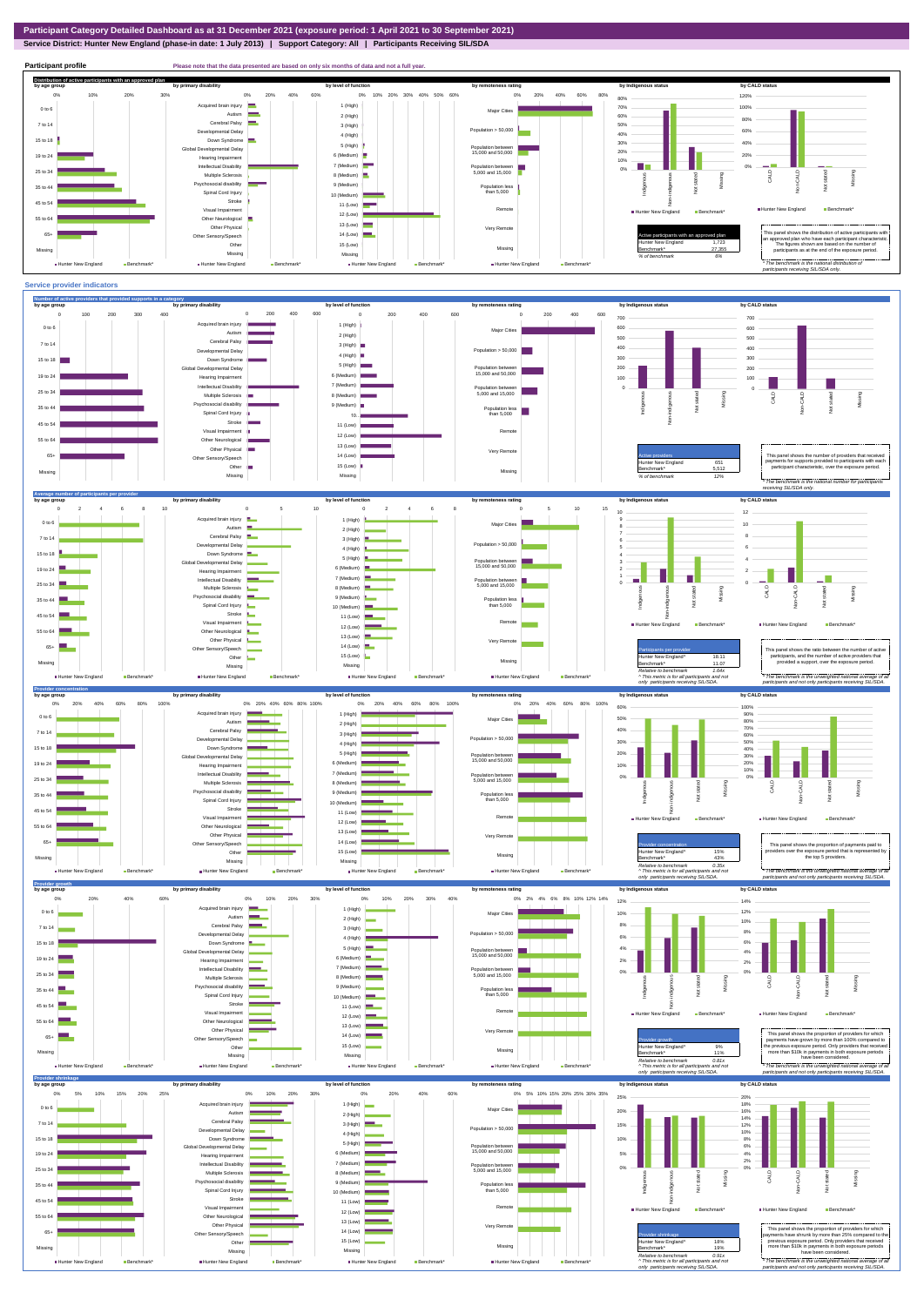**Service District: Hunter New England (phase-in date: 1 July 2013) | Support Category: All | Participants Receiving SIL/SDA**



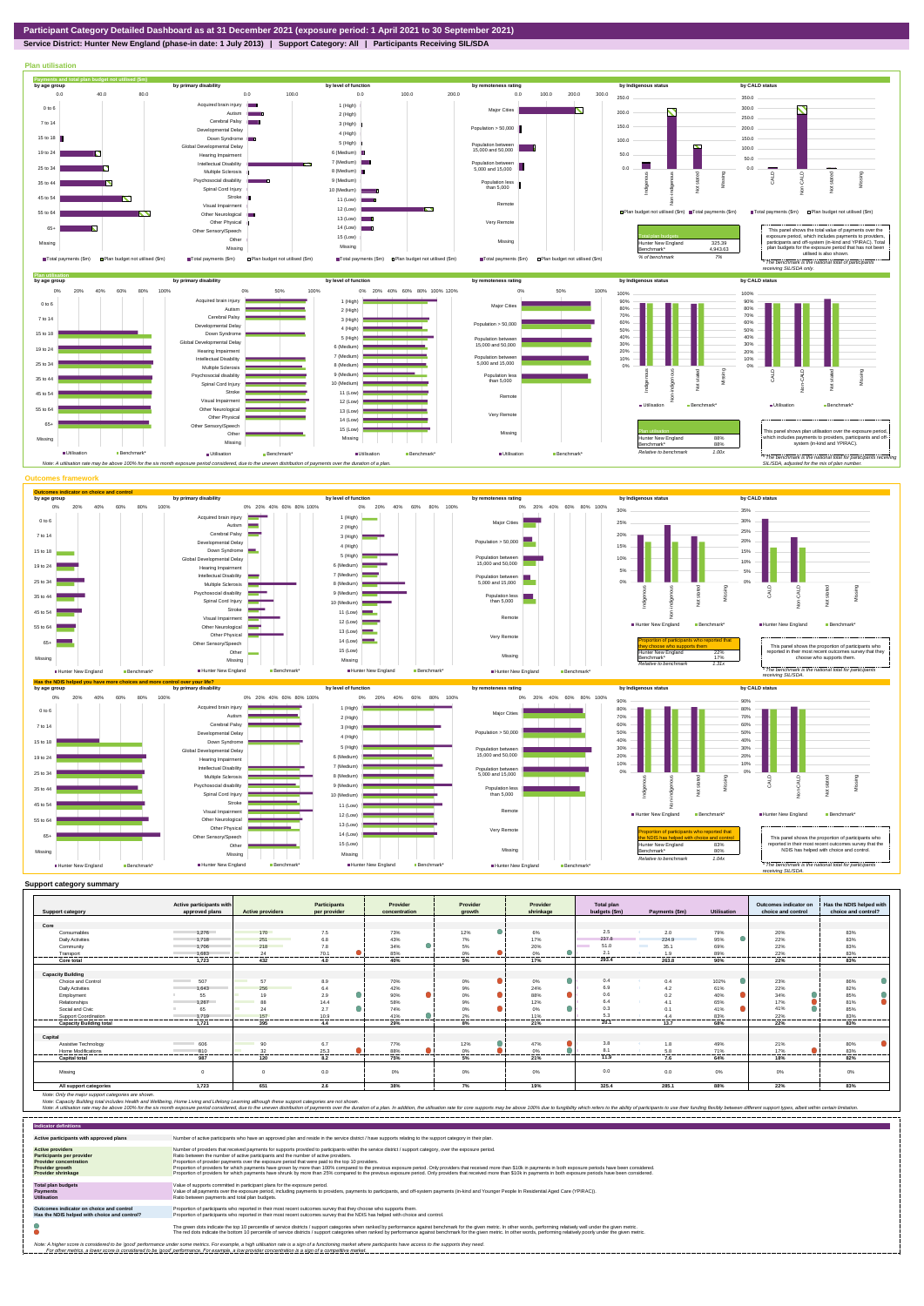

**Service District: Hunter New England (phase-in date: 1 July 2013) | Support Category: All | Participants Receiving SIL/SDA**



|                                | Active participants with        |                                                                                                                              | <b>Participants</b> | Provider         | Provider     | Provider                        | Total plan    |                  |                    | Outcomes indicator on | Has the NDIS helped with |
|--------------------------------|---------------------------------|------------------------------------------------------------------------------------------------------------------------------|---------------------|------------------|--------------|---------------------------------|---------------|------------------|--------------------|-----------------------|--------------------------|
| <b>Support category</b>        | approved plans                  | <b>Active providers</b>                                                                                                      | per provider        | concentration    | arowth       | shrinkage                       | budgets (\$m) | Payments (\$m)   | <b>Utilisation</b> | choice and control    | choice and control?      |
|                                |                                 |                                                                                                                              |                     |                  |              |                                 |               |                  |                    |                       |                          |
| Core                           |                                 |                                                                                                                              |                     |                  |              |                                 |               |                  |                    |                       |                          |
| Consumables                    | 1.276                           | 170                                                                                                                          | 7.5                 | 73%              | 12%          | 6%                              | 2.5           | 2.0              | 79%                | 20%                   | 83%                      |
| <b>Daily Activities</b>        | 1.718                           | 251<br><b>Contract Contract Contract Contract Contract Contract Contract Contract Contract Contract Contract Contract Co</b> | 6.8                 | 43%              | 7%           | 17%                             | 237.8         | 224.9            | 95%                | 22%                   | 83%                      |
| Community                      | 1.706                           | 218<br><b>Service Service</b>                                                                                                | 7.8                 | 34%              | 5%           | 20%                             | 51.0          | 35.1             | 69%                | 22%                   | 83%                      |
| Transport                      | 1.683<br>-----------------      | 24<br>--------                                                                                                               | 70.1<br>.           | 85%<br>--------- | 0%<br>.<br>. | $\Omega$ <sup>o</sup><br>.<br>. | 2.1<br>.      | 1.9<br>--------- | 89%<br>-------     | 22%<br>.              | 83%<br>----------        |
| Core total                     | 1.723                           | 432                                                                                                                          | 4.0                 | 40%              | 5%           | 17%                             | 293.4         | 263.8            | 90%                | 22%                   | 83%                      |
|                                |                                 |                                                                                                                              |                     |                  |              |                                 |               |                  |                    |                       |                          |
| <b>Capacity Building</b>       |                                 |                                                                                                                              |                     |                  |              |                                 |               |                  |                    |                       |                          |
| Choice and Control             | <b>Contract Contract</b><br>507 | 57<br><b>The Co</b>                                                                                                          | 8.9                 | 70%              | 0%           | 0%                              | 0.4           | 0.4              | 102%               | 23%                   | 86%                      |
| <b>Daily Activities</b>        | 1.643                           | 256                                                                                                                          | 6.4                 | 42%              | 9%           | 24%                             | 6.9           | 4.2              | 61%                | 22%                   | 82%                      |
| Employment                     | 55                              | 19                                                                                                                           | 2.9                 | 90%              | Δ<br>0%      | $\bullet$<br>88%                | 0.6           | 0.2              | 40%                | 34%                   | 85%                      |
| Relationships                  | 1.267                           | 88                                                                                                                           | 14.4                | 58%              | 9%           | 12%                             | 6.4           | 41               | 65%                | 17%                   | 81%                      |
| Social and Civic               | 65                              | 24                                                                                                                           | 2.7                 | 74%              | 0%           | $\bullet$<br>0%                 | 0.3           |                  | 41%                | 41%                   | 85%                      |
| Support Coordination           | 1.719                           | 157<br>-----                                                                                                                 | 10.9<br>            | 41%              | 2%<br>.      | 11%<br>.                        | 5.3           | 44               | 83%                | 22%                   | 83%<br>                  |
| <b>Capacity Building total</b> | 1.721                           | 395                                                                                                                          | 4.4                 | 29%              | 8%           | 21%                             | 20.1          | 13.7             | 68%                | 22%                   | 83%                      |
|                                |                                 |                                                                                                                              |                     |                  |              |                                 |               |                  |                    |                       |                          |
| Capital                        |                                 |                                                                                                                              |                     |                  |              |                                 |               |                  |                    |                       |                          |
| Assistive Technology           | 606<br><b>Contract Contract</b> | 90                                                                                                                           | 6.7                 | 77%              | 12%          | 47%                             | 3.8           | 1.8              | 49%                | 21%                   | 80%                      |
| <b>Home Modifications</b>      | 810                             | 32                                                                                                                           | 25.3                | 88%              | 0%           | 0%                              | 8.1           | 5.8              | 71%                | 17%                   | 83%                      |
| <b>Capital total</b>           | 987                             | 120                                                                                                                          | 8.2                 | 75%              | 5%           | 21%                             | 11.9          | 7.6              | 64%                | 18%                   | 82%                      |
| Missing                        | $\Omega$                        | $\Omega$                                                                                                                     | 0.0                 | 0%               | 0%           | 0%                              | 0.0           | 0.0              | $0\%$              | 0%                    | 0%                       |
| All support categories         | 1,723                           | 651                                                                                                                          | 2.6                 | 38%              | 7%           | 19%                             | 325.4         | 285.1            | 88%                | 22%                   | 83%                      |

Note: Only the major support categories are shown.<br>Note: Capacity Building total individual Wellbeing, Home Living and Lifelong Learning although these support categories are not shown.<br>Note: A utilisation rate may be abov

| <b>Indicator definitions</b>                                                                                                                                                                                                                                                                                                                                              |                                                                                                                                                                                                                                                                                                                                                                                                                                                                                                                                                                                                                                                                                                                                                                                                                 |  |  |  |  |  |
|---------------------------------------------------------------------------------------------------------------------------------------------------------------------------------------------------------------------------------------------------------------------------------------------------------------------------------------------------------------------------|-----------------------------------------------------------------------------------------------------------------------------------------------------------------------------------------------------------------------------------------------------------------------------------------------------------------------------------------------------------------------------------------------------------------------------------------------------------------------------------------------------------------------------------------------------------------------------------------------------------------------------------------------------------------------------------------------------------------------------------------------------------------------------------------------------------------|--|--|--|--|--|
| Active participants with approved plans                                                                                                                                                                                                                                                                                                                                   | Number of active participants who have an approved plan and reside in the service district / have supports relating to the support category in their plan.                                                                                                                                                                                                                                                                                                                                                                                                                                                                                                                                                                                                                                                      |  |  |  |  |  |
| <b>Active providers</b><br><b>Participants per provider</b><br><b>Provider concentration</b><br><b>Provider growth</b><br><b>Provider shrinkage</b>                                                                                                                                                                                                                       | Number of providers that received payments for supports provided to participants within the service district / support category, over the exposure period.<br>Ratio between the number of active participants and the number of active providers.<br>Proportion of provider payments over the exposure period that were paid to the top 10 providers.<br>Proportion of providers for which payments have grown by more than 100% compared to the previous exposure period. Only providers that received more than \$10k in payments in both exposure periods have been considered.<br>Proportion of providers for which payments have shrunk by more than 25% compared to the previous exposure period. Only providers that received more than \$10k in payments in both exposure periods have been considered. |  |  |  |  |  |
| <b>Total plan budgets</b><br><b>Payments</b><br><b>Utilisation</b>                                                                                                                                                                                                                                                                                                        | Value of supports committed in participant plans for the exposure period.<br>Value of all payments over the exposure period, including payments to providers, payments to participants, and off-system payments (in-kind and Younger People In Residential Aged Care (YPIRAC)).<br>Ratio between payments and total plan budgets.                                                                                                                                                                                                                                                                                                                                                                                                                                                                               |  |  |  |  |  |
| Outcomes indicator on choice and control<br>Has the NDIS helped with choice and control?                                                                                                                                                                                                                                                                                  | Proportion of participants who reported in their most recent outcomes survey that they choose who supports them.<br>Proportion of participants who reported in their most recent outcomes survey that the NDIS has helped with choice and control.                                                                                                                                                                                                                                                                                                                                                                                                                                                                                                                                                              |  |  |  |  |  |
|                                                                                                                                                                                                                                                                                                                                                                           | The green dots indicate the top 10 percentile of service districts / support categories when ranked by performance against benchmark for the given metric. In other words, performing relatively well under the given metric.<br>The red dots indicate the bottom 10 percentile of service districts / support categories when ranked by performance against benchmark for the given metric. In other words, performing relatively poorly under the given metri                                                                                                                                                                                                                                                                                                                                                 |  |  |  |  |  |
| Note: A higher score is considered to be 'good' performance under some metrics. For example, a high utilisation rate is a sign of a functioning market where participants have access to the supports they need.<br>For other metrics, a lower score is considered to be 'good' performance. For example, a low provider concentration is a sign of a competitive market. |                                                                                                                                                                                                                                                                                                                                                                                                                                                                                                                                                                                                                                                                                                                                                                                                                 |  |  |  |  |  |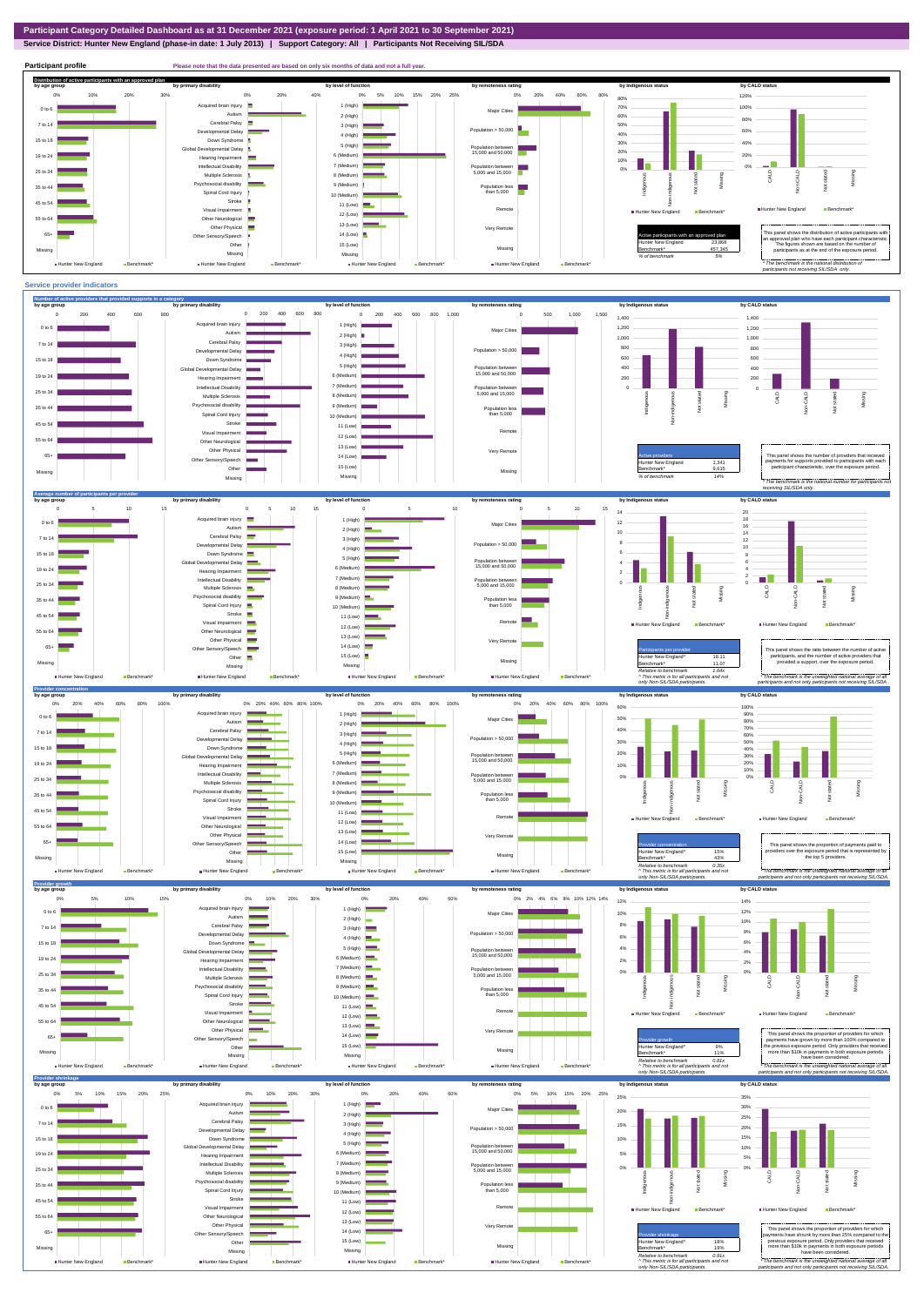**Service District: Hunter New England (phase-in date: 1 July 2013) | Support Category: All | Participants Not Receiving SIL/SDA**